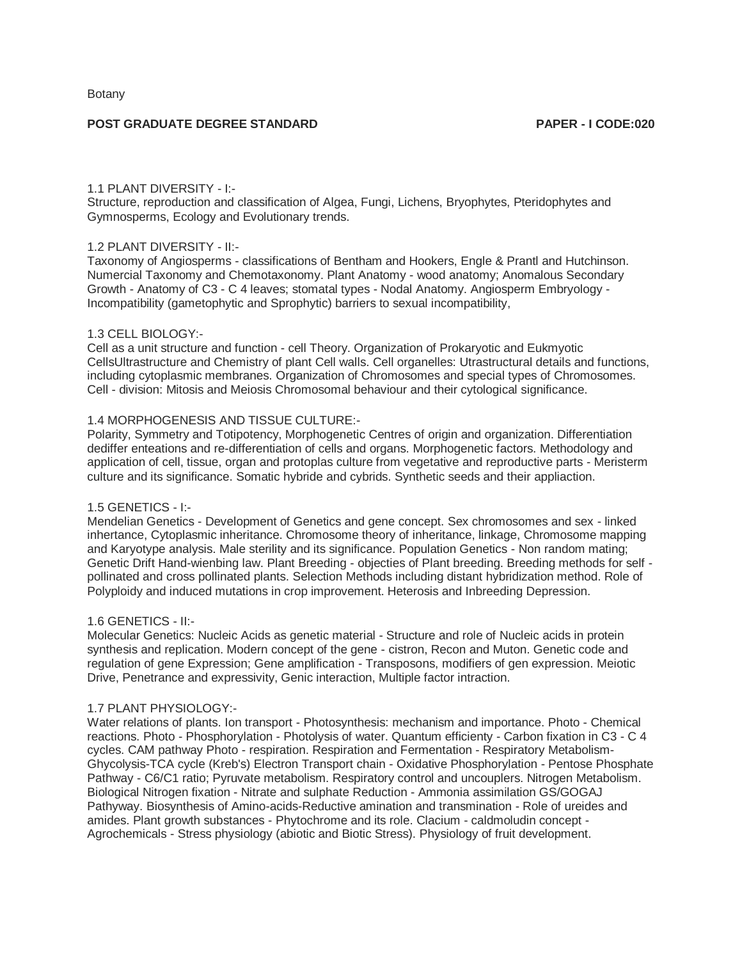## **POST GRADUATE DEGREE STANDARD PAPER - I CODE:020**

#### 1.1 PLANT DIVERSITY - I:-

Structure, reproduction and classification of Algea, Fungi, Lichens, Bryophytes, Pteridophytes and Gymnosperms, Ecology and Evolutionary trends.

# 1.2 PLANT DIVERSITY - II:-

Taxonomy of Angiosperms - classifications of Bentham and Hookers, Engle & Prantl and Hutchinson. Numercial Taxonomy and Chemotaxonomy. Plant Anatomy - wood anatomy; Anomalous Secondary Growth - Anatomy of C3 - C 4 leaves; stomatal types - Nodal Anatomy. Angiosperm Embryology - Incompatibility (gametophytic and Sprophytic) barriers to sexual incompatibility,

#### 1.3 CELL BIOLOGY:-

Cell as a unit structure and function - cell Theory. Organization of Prokaryotic and Eukmyotic CellsUltrastructure and Chemistry of plant Cell walls. Cell organelles: Utrastructural details and functions, including cytoplasmic membranes. Organization of Chromosomes and special types of Chromosomes. Cell - division: Mitosis and Meiosis Chromosomal behaviour and their cytological significance.

# 1.4 MORPHOGENESIS AND TISSUE CULTURE:-

Polarity, Symmetry and Totipotency, Morphogenetic Centres of origin and organization. Differentiation dediffer enteations and re-differentiation of cells and organs. Morphogenetic factors. Methodology and application of cell, tissue, organ and protoplas culture from vegetative and reproductive parts - Meristerm culture and its significance. Somatic hybride and cybrids. Synthetic seeds and their appliaction.

# 1.5 GENETICS - I:-

Mendelian Genetics - Development of Genetics and gene concept. Sex chromosomes and sex - linked inhertance, Cytoplasmic inheritance. Chromosome theory of inheritance, linkage, Chromosome mapping and Karyotype analysis. Male sterility and its significance. Population Genetics - Non random mating; Genetic Drift Hand-wienbing law. Plant Breeding - objecties of Plant breeding. Breeding methods for self pollinated and cross pollinated plants. Selection Methods including distant hybridization method. Role of Polyploidy and induced mutations in crop improvement. Heterosis and Inbreeding Depression.

#### 1.6 GENETICS - II:-

Molecular Genetics: Nucleic Acids as genetic material - Structure and role of Nucleic acids in protein synthesis and replication. Modern concept of the gene - cistron, Recon and Muton. Genetic code and regulation of gene Expression; Gene amplification - Transposons, modifiers of gen expression. Meiotic Drive, Penetrance and expressivity, Genic interaction, Multiple factor intraction.

#### 1.7 PLANT PHYSIOLOGY:-

Water relations of plants. Ion transport - Photosynthesis: mechanism and importance. Photo - Chemical reactions. Photo - Phosphorylation - Photolysis of water. Quantum efficienty - Carbon fixation in C3 - C 4 cycles. CAM pathway Photo - respiration. Respiration and Fermentation - Respiratory Metabolism-Ghycolysis-TCA cycle (Kreb's) Electron Transport chain - Oxidative Phosphorylation - Pentose Phosphate Pathway - C6/C1 ratio; Pyruvate metabolism. Respiratory control and uncouplers. Nitrogen Metabolism. Biological Nitrogen fixation - Nitrate and sulphate Reduction - Ammonia assimilation GS/GOGAJ Pathyway. Biosynthesis of Amino-acids-Reductive amination and transmination - Role of ureides and amides. Plant growth substances - Phytochrome and its role. Clacium - caldmoludin concept - Agrochemicals - Stress physiology (abiotic and Biotic Stress). Physiology of fruit development.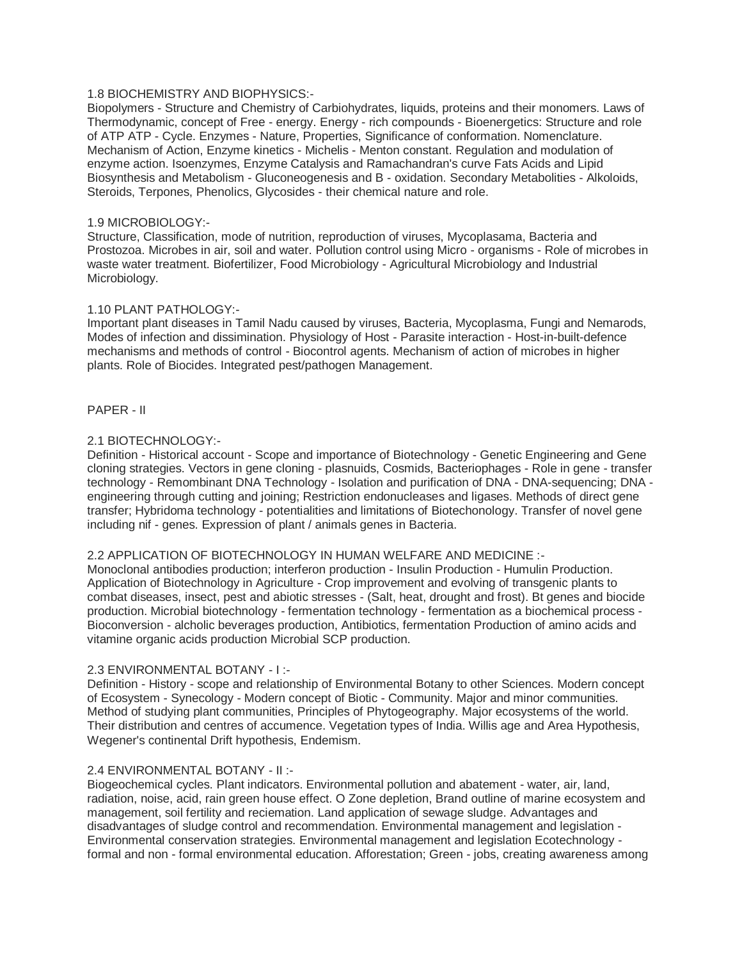# 1.8 BIOCHEMISTRY AND BIOPHYSICS:-

Biopolymers - Structure and Chemistry of Carbiohydrates, liquids, proteins and their monomers. Laws of Thermodynamic, concept of Free - energy. Energy - rich compounds - Bioenergetics: Structure and role of ATP ATP - Cycle. Enzymes - Nature, Properties, Significance of conformation. Nomenclature. Mechanism of Action, Enzyme kinetics - Michelis - Menton constant. Regulation and modulation of enzyme action. Isoenzymes, Enzyme Catalysis and Ramachandran's curve Fats Acids and Lipid Biosynthesis and Metabolism - Gluconeogenesis and B - oxidation. Secondary Metabolities - Alkoloids, Steroids, Terpones, Phenolics, Glycosides - their chemical nature and role.

## 1.9 MICROBIOLOGY:-

Structure, Classification, mode of nutrition, reproduction of viruses, Mycoplasama, Bacteria and Prostozoa. Microbes in air, soil and water. Pollution control using Micro - organisms - Role of microbes in waste water treatment. Biofertilizer, Food Microbiology - Agricultural Microbiology and Industrial Microbiology.

## 1.10 PLANT PATHOLOGY:-

Important plant diseases in Tamil Nadu caused by viruses, Bacteria, Mycoplasma, Fungi and Nemarods, Modes of infection and dissimination. Physiology of Host - Parasite interaction - Host-in-built-defence mechanisms and methods of control - Biocontrol agents. Mechanism of action of microbes in higher plants. Role of Biocides. Integrated pest/pathogen Management.

#### PAPER - II

## 2.1 BIOTECHNOLOGY:-

Definition - Historical account - Scope and importance of Biotechnology - Genetic Engineering and Gene cloning strategies. Vectors in gene cloning - plasnuids, Cosmids, Bacteriophages - Role in gene - transfer technology - Remombinant DNA Technology - Isolation and purification of DNA - DNA-sequencing; DNA engineering through cutting and joining; Restriction endonucleases and ligases. Methods of direct gene transfer; Hybridoma technology - potentialities and limitations of Biotechonology. Transfer of novel gene including nif - genes. Expression of plant / animals genes in Bacteria.

# 2.2 APPLICATION OF BIOTECHNOLOGY IN HUMAN WELFARE AND MEDICINE :-

Monoclonal antibodies production; interferon production - Insulin Production - Humulin Production. Application of Biotechnology in Agriculture - Crop improvement and evolving of transgenic plants to combat diseases, insect, pest and abiotic stresses - (Salt, heat, drought and frost). Bt genes and biocide production. Microbial biotechnology - fermentation technology - fermentation as a biochemical process - Bioconversion - alcholic beverages production, Antibiotics, fermentation Production of amino acids and vitamine organic acids production Microbial SCP production.

#### 2.3 ENVIRONMENTAL BOTANY - I :-

Definition - History - scope and relationship of Environmental Botany to other Sciences. Modern concept of Ecosystem - Synecology - Modern concept of Biotic - Community. Major and minor communities. Method of studying plant communities, Principles of Phytogeography. Major ecosystems of the world. Their distribution and centres of accumence. Vegetation types of India. Willis age and Area Hypothesis, Wegener's continental Drift hypothesis, Endemism.

## 2.4 ENVIRONMENTAL BOTANY - II :-

Biogeochemical cycles. Plant indicators. Environmental pollution and abatement - water, air, land, radiation, noise, acid, rain green house effect. O Zone depletion, Brand outline of marine ecosystem and management, soil fertility and reciemation. Land application of sewage sludge. Advantages and disadvantages of sludge control and recommendation. Environmental management and legislation - Environmental conservation strategies. Environmental management and legislation Ecotechnology formal and non - formal environmental education. Afforestation; Green - jobs, creating awareness among